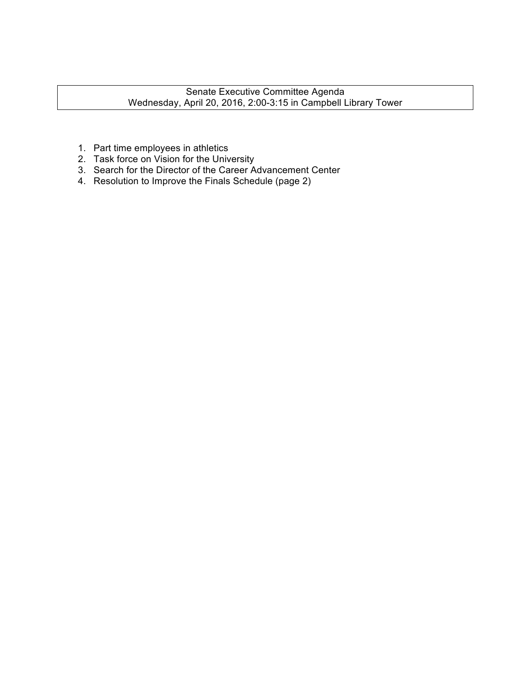- 1. Part time employees in athletics
- 2. Task force on Vision for the University
- 3. Search for the Director of the Career Advancement Center
- 4. Resolution to Improve the Finals Schedule (page 2)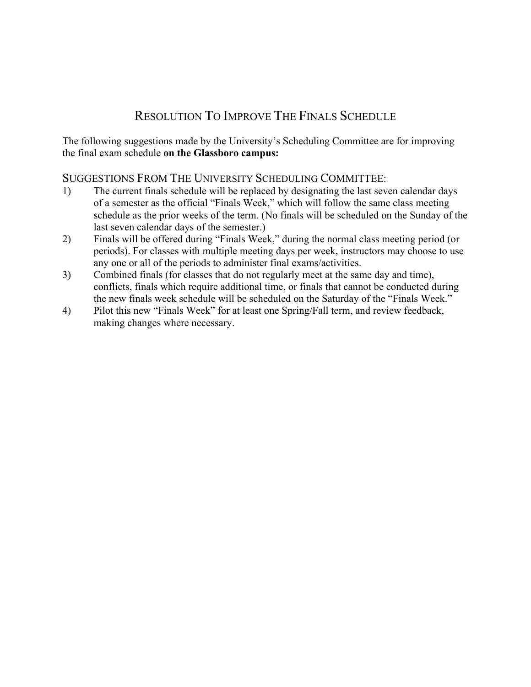# RESOLUTION TO IMPROVE THE FINALS SCHEDULE

The following suggestions made by the University's Scheduling Committee are for improving the final exam schedule **on the Glassboro campus:**

# SUGGESTIONS FROM THE UNIVERSITY SCHEDULING COMMITTEE:

- 1) The current finals schedule will be replaced by designating the last seven calendar days of a semester as the official "Finals Week," which will follow the same class meeting schedule as the prior weeks of the term. (No finals will be scheduled on the Sunday of the last seven calendar days of the semester.)
- 2) Finals will be offered during "Finals Week," during the normal class meeting period (or periods). For classes with multiple meeting days per week, instructors may choose to use any one or all of the periods to administer final exams/activities.
- 3) Combined finals (for classes that do not regularly meet at the same day and time), conflicts, finals which require additional time, or finals that cannot be conducted during the new finals week schedule will be scheduled on the Saturday of the "Finals Week."
- 4) Pilot this new "Finals Week" for at least one Spring/Fall term, and review feedback, making changes where necessary.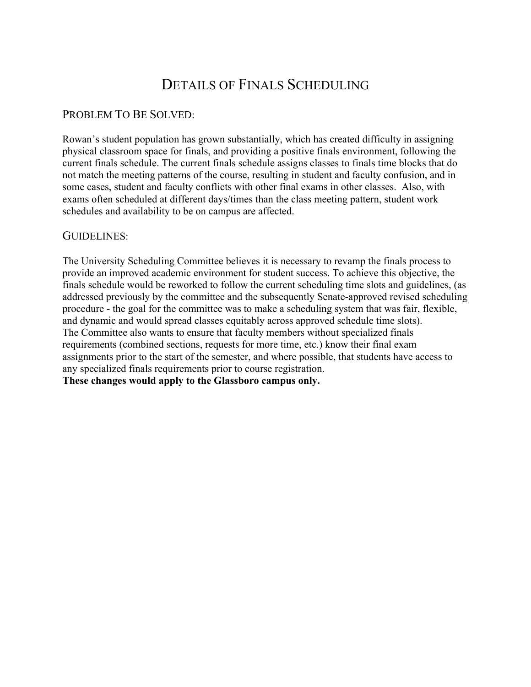# DETAILS OF FINALS SCHEDULING

#### PROBLEM TO BE SOLVED:

Rowan's student population has grown substantially, which has created difficulty in assigning physical classroom space for finals, and providing a positive finals environment, following the current finals schedule. The current finals schedule assigns classes to finals time blocks that do not match the meeting patterns of the course, resulting in student and faculty confusion, and in some cases, student and faculty conflicts with other final exams in other classes. Also, with exams often scheduled at different days/times than the class meeting pattern, student work schedules and availability to be on campus are affected.

#### GUIDELINES:

The University Scheduling Committee believes it is necessary to revamp the finals process to provide an improved academic environment for student success. To achieve this objective, the finals schedule would be reworked to follow the current scheduling time slots and guidelines, (as addressed previously by the committee and the subsequently Senate-approved revised scheduling procedure - the goal for the committee was to make a scheduling system that was fair, flexible, and dynamic and would spread classes equitably across approved schedule time slots). The Committee also wants to ensure that faculty members without specialized finals requirements (combined sections, requests for more time, etc.) know their final exam assignments prior to the start of the semester, and where possible, that students have access to any specialized finals requirements prior to course registration. **These changes would apply to the Glassboro campus only.**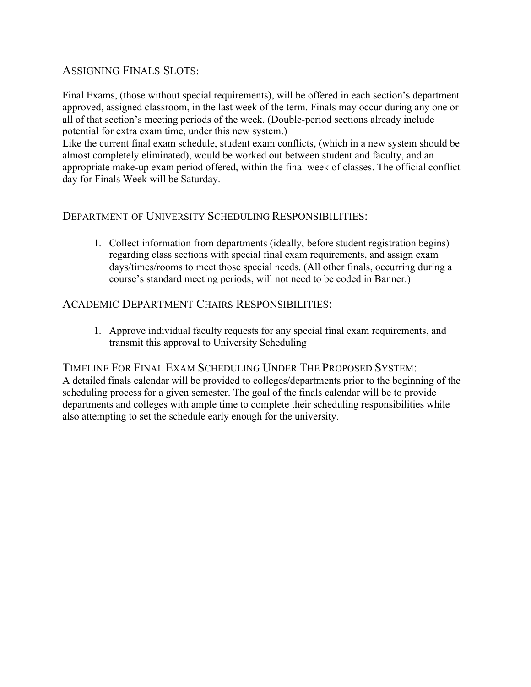## ASSIGNING FINALS SLOTS:

Final Exams, (those without special requirements), will be offered in each section's department approved, assigned classroom, in the last week of the term. Finals may occur during any one or all of that section's meeting periods of the week. (Double-period sections already include potential for extra exam time, under this new system.)

Like the current final exam schedule, student exam conflicts, (which in a new system should be almost completely eliminated), would be worked out between student and faculty, and an appropriate make-up exam period offered, within the final week of classes. The official conflict day for Finals Week will be Saturday.

#### DEPARTMENT OF UNIVERSITY SCHEDULING RESPONSIBILITIES:

1. Collect information from departments (ideally, before student registration begins) regarding class sections with special final exam requirements, and assign exam days/times/rooms to meet those special needs. (All other finals, occurring during a course's standard meeting periods, will not need to be coded in Banner.)

#### ACADEMIC DEPARTMENT CHAIRS RESPONSIBILITIES:

1. Approve individual faculty requests for any special final exam requirements, and transmit this approval to University Scheduling

TIMELINE FOR FINAL EXAM SCHEDULING UNDER THE PROPOSED SYSTEM: A detailed finals calendar will be provided to colleges/departments prior to the beginning of the scheduling process for a given semester. The goal of the finals calendar will be to provide departments and colleges with ample time to complete their scheduling responsibilities while also attempting to set the schedule early enough for the university.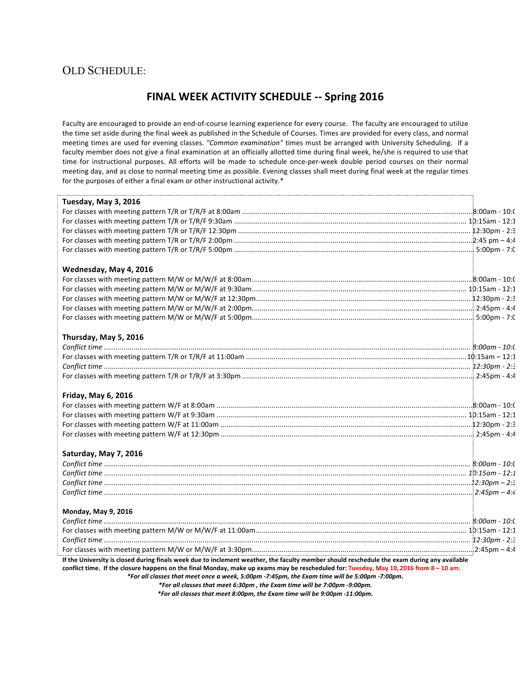#### OLD SCHEDULE:

# **FINAL WEEK ACTIVITY SCHEDULE -- Spring 2016**

Faculty are encouraged to provide an end-of-course learning experience for every course. The faculty are encouraged to utilize the time set aside during the final week as published in the Schedule of Courses. Times are provided for every class, and normal meeting times are used for evening classes. "Common examination" times must be arranged with University Scheduling. If a faculty member does not give a final examination at an officially allotted time during final week, he/she is required to use that time for instructional purposes. All efforts will be made to schedule once-per-week double period courses on their normal meeting day, and as close to normal meeting time as possible. Evening classes shall meet during final week at the regular times for the purposes of either a final exam or other instructional activity.\*

| Tuesday, May 3, 2016   |  |
|------------------------|--|
|                        |  |
|                        |  |
|                        |  |
|                        |  |
|                        |  |
| Wednesday, May 4, 2016 |  |
|                        |  |
|                        |  |
|                        |  |
|                        |  |
|                        |  |
| Thursday, May 5, 2016  |  |
|                        |  |
|                        |  |
|                        |  |
|                        |  |
| Friday, May 6, 2016    |  |
|                        |  |
|                        |  |
|                        |  |
|                        |  |
| Saturday, May 7, 2016  |  |
|                        |  |
|                        |  |
|                        |  |
|                        |  |
| Monday, May 9, 2016    |  |
|                        |  |
|                        |  |
|                        |  |
|                        |  |

*\*For all classes that meet once a week, 5:00pm -7:45pm, the Exam time will be 5:00pm -7:00pm.*

*\*For all classes that meet 6:30pm , the Exam time will be 7:00pm -9:00pm.*

*\*For all classes that meet 8:00pm, the Exam time will be 9:00pm -11:00pm.*